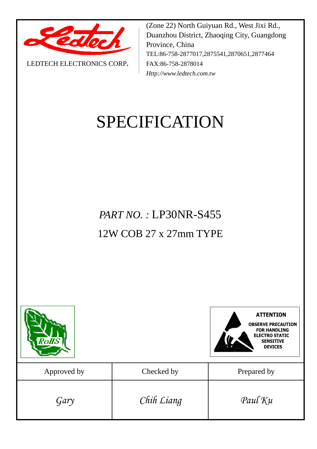

LEDTECH ELECTRONICS CORP**.**

(Zone 22) North Guiyuan Rd., West Jixi Rd., Duanzhou District, Zhaoqing City, Guangdong Province, China TEL:86-758-2877017,2875541,2870651,2877464 FAX:86-758-2878014 *Http://www.ledtech.com.tw*

# SPECIFICATION

*PART NO. :* LP30NR-S455 12W COB 27 x 27mm TYPE

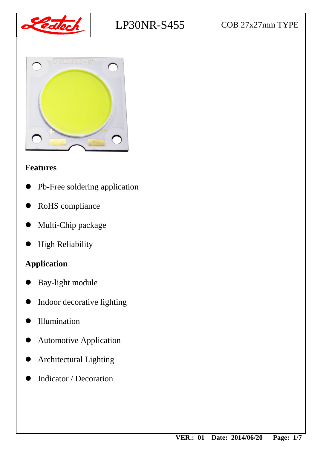





## **Features**

- Pb-Free soldering application
- RoHS compliance
- Multi-Chip package
- High Reliability

# **Application**

- Bay-light module
- Indoor decorative lighting
- Illumination
- Automotive Application
- Architectural Lighting
- Indicator / Decoration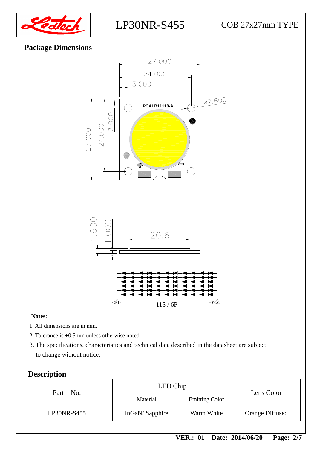

## **Package Dimensions**



#### **Notes:**

- 1. All dimensions are in mm.
- 2. Tolerance is ±0.5mm unless otherwise noted.
- 3. The specifications, characteristics and technical data described in the datasheet are subject to change without notice.

## **Description**

| Part No.    | LED Chip       | Lens Color            |                        |
|-------------|----------------|-----------------------|------------------------|
|             | Material       | <b>Emitting Color</b> |                        |
| LP30NR-S455 | InGaN/Sapphire | Warm White            | <b>Orange Diffused</b> |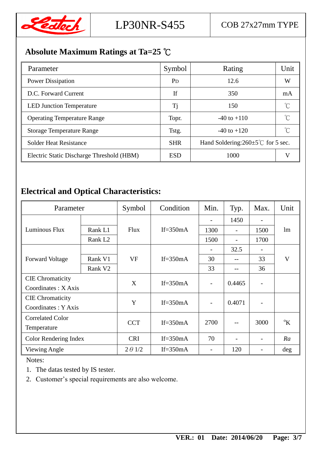

# **Absolute Maximum Ratings at Ta=25** ℃

| Parameter                                 | Symbol                | Rating                                         | Unit |
|-------------------------------------------|-----------------------|------------------------------------------------|------|
| <b>Power Dissipation</b>                  | <b>P</b> <sub>D</sub> | 12.6                                           | W    |
| D.C. Forward Current                      | If                    | 350                                            | mA   |
| <b>LED Junction Temperature</b>           | Tj                    | 150                                            |      |
| <b>Operating Temperature Range</b>        | Topr.                 | $-40$ to $+110$                                |      |
| <b>Storage Temperature Range</b>          | Tstg.                 | $-40$ to $+120$                                |      |
| <b>Solder Heat Resistance</b>             | <b>SHR</b>            | Hand Soldering: $260 \pm 5^{\circ}$ for 5 sec. |      |
| Electric Static Discharge Threshold (HBM) | <b>ESD</b>            | 1000                                           |      |

# **Electrical and Optical Characteristics:**

| Parameter               |                     | Symbol           | Condition   | Min. | Typ.                     | Max. | Unit             |
|-------------------------|---------------------|------------------|-------------|------|--------------------------|------|------------------|
|                         |                     |                  |             |      | 1450                     |      |                  |
| Luminous Flux           | Rank L1             | <b>Flux</b>      | If= $350mA$ | 1300 | $\overline{\phantom{a}}$ | 1500 | lm               |
|                         | Rank L <sub>2</sub> |                  |             | 1500 |                          | 1700 |                  |
|                         |                     |                  |             |      | 32.5                     |      |                  |
| <b>Forward Voltage</b>  | Rank V1             | <b>VF</b>        | If= $350mA$ | 30   |                          | 33   | V                |
|                         | Rank V <sub>2</sub> |                  |             | 33   |                          | 36   |                  |
| <b>CIE</b> Chromaticity |                     | X                | If= $350mA$ |      | 0.4465                   |      |                  |
| Coordinates: X Axis     |                     |                  |             |      |                          |      |                  |
| <b>CIE</b> Chromaticity |                     | Y<br>If= $350mA$ |             |      | 0.4071                   |      |                  |
| Coordinates: Y Axis     |                     |                  |             |      |                          |      |                  |
| <b>Correlated Color</b> |                     | <b>CCT</b>       | If= $350mA$ | 2700 |                          | 3000 | $\mathrm{^{0}K}$ |
| Temperature             |                     |                  |             |      |                          |      |                  |
| Color Rendering Index   |                     | <b>CRI</b>       | If= $350mA$ | 70   |                          |      | Ra               |
| <b>Viewing Angle</b>    |                     | $2 \theta$ 1/2   | If= $350mA$ |      | 120                      |      | deg              |

Notes:

1. The datas tested by IS tester.

2. Customer's special requirements are also welcome.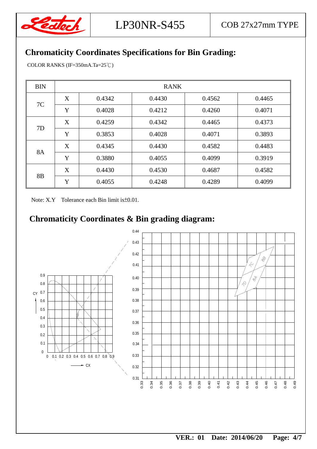

## **Chromaticity Coordinates Specifications for Bin Grading:**

COLOR RANKS (IF=350mA.Ta=25℃)

| <b>BIN</b> | <b>RANK</b> |        |        |        |        |  |
|------------|-------------|--------|--------|--------|--------|--|
| 7C         | X           | 0.4342 | 0.4430 | 0.4562 | 0.4465 |  |
|            | Y           | 0.4028 | 0.4212 | 0.4260 | 0.4071 |  |
| 7D         | X           | 0.4259 | 0.4342 | 0.4465 | 0.4373 |  |
|            | Y           | 0.3853 | 0.4028 | 0.4071 | 0.3893 |  |
| <b>8A</b>  | X           | 0.4345 | 0.4430 | 0.4582 | 0.4483 |  |
|            | Y           | 0.3880 | 0.4055 | 0.4099 | 0.3919 |  |
| 8B         | X           | 0.4430 | 0.4530 | 0.4687 | 0.4582 |  |
|            | Y           | 0.4055 | 0.4248 | 0.4289 | 0.4099 |  |

Note: X.Y Tolerance each Bin limit is±0.01.

## **Chromaticity Coordinates & Bin grading diagram:**

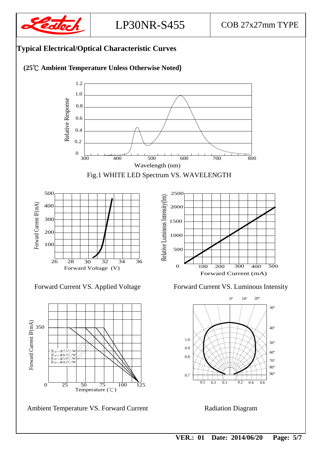

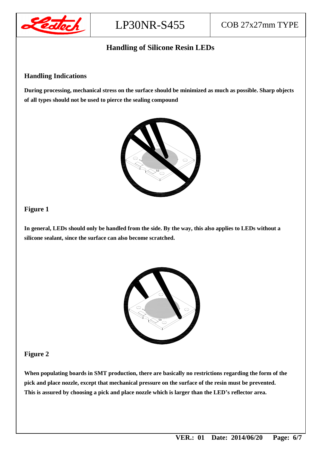

#### **Handling of Silicone Resin LEDs**

#### **Handling Indications**

**During processing, mechanical stress on the surface should be minimized as much as possible. Sharp objects of all types should not be used to pierce the sealing compound**



#### **Figure 1**

**In general, LEDs should only be handled from the side. By the way, this also applies to LEDs without a silicone sealant, since the surface can also become scratched.**



#### **Figure 2**

**When populating boards in SMT production, there are basically no restrictions regarding the form of the pick and place nozzle, except that mechanical pressure on the surface of the resin must be prevented. This is assured by choosing a pick and place nozzle which is larger than the LED's reflector area.**